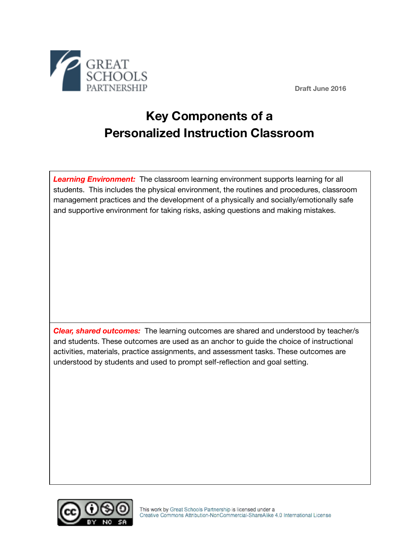

**Draft June 2016**

## **Key Components of a Personalized Instruction Classroom**

**Learning Environment:** The classroom learning environment supports learning for all students. This includes the physical environment, the routines and procedures, classroom management practices and the development of a physically and socially/emotionally safe and supportive environment for taking risks, asking questions and making mistakes.

*Clear, shared outcomes:* The learning outcomes are shared and understood by teacher/s and students. These outcomes are used as an anchor to guide the choice of instructional activities, materials, practice assignments, and assessment tasks. These outcomes are understood by students and used to prompt self-reflection and goal setting.